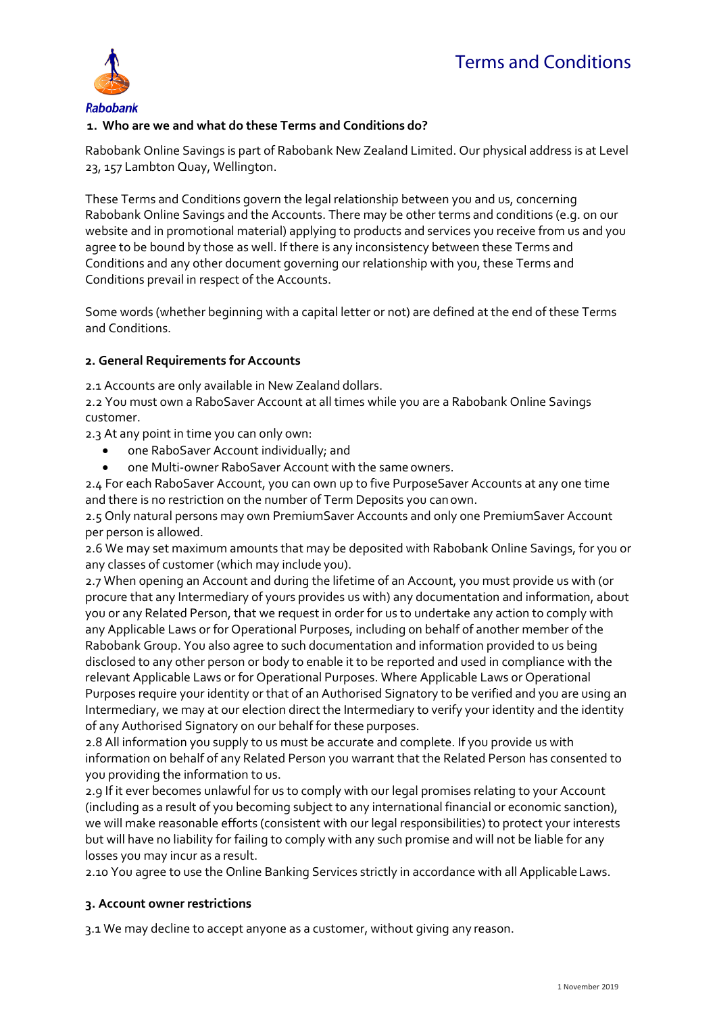

# **1. Who are we and what do these Terms and Conditions do?**

Rabobank Online Savings is part of Rabobank New Zealand Limited. Our physical address is at Level 23, 157 Lambton Quay, Wellington.

These Terms and Conditions govern the legal relationship between you and us, concerning Rabobank Online Savings and the Accounts. There may be other terms and conditions (e.g. on our website and in promotional material) applying to products and services you receive from us and you agree to be bound by those as well. If there is any inconsistency between these Terms and Conditions and any other document governing our relationship with you, these Terms and Conditions prevail in respect of the Accounts.

Some words (whether beginning with a capital letter or not) are defined at the end of these Terms and Conditions.

### **2. General Requirements forAccounts**

2.1 Accounts are only available in New Zealand dollars.

2.2 You must own a RaboSaver Account at all times while you are a Rabobank Online Savings customer.

2.3 At any point in time you can only own:

- one RaboSaver Account individually; and
- one Multi-owner RaboSaver Account with the same owners.

2.4 For each RaboSaver Account, you can own up to five PurposeSaver Accounts at any one time and there is no restriction on the number of Term Deposits you canown.

2.5 Only natural persons may own PremiumSaver Accounts and only one PremiumSaver Account per person is allowed.

2.6 We may set maximum amounts that may be deposited with Rabobank Online Savings, for you or any classes of customer (which may include you).

2.7 When opening an Account and during the lifetime of an Account, you must provide us with (or procure that any Intermediary of yours provides us with) any documentation and information, about you or any Related Person, that we request in order for us to undertake any action to comply with any Applicable Laws or for Operational Purposes, including on behalf of another member of the Rabobank Group. You also agree to such documentation and information provided to us being disclosed to any other person or body to enable it to be reported and used in compliance with the relevant Applicable Laws or for Operational Purposes. Where Applicable Laws or Operational Purposes require your identity or that of an Authorised Signatory to be verified and you are using an Intermediary, we may at our election direct the Intermediary to verify your identity and the identity of any Authorised Signatory on our behalf for these purposes.

2.8 All information you supply to us must be accurate and complete. If you provide us with information on behalf of any Related Person you warrant that the Related Person has consented to you providing the information to us.

2.9 If it ever becomes unlawful for us to comply with our legal promises relating to your Account (including as a result of you becoming subject to any international financial or economic sanction), we will make reasonable efforts (consistent with our legal responsibilities) to protect your interests but will have no liability for failing to comply with any such promise and will not be liable for any losses you may incur as a result.

2.10 You agree to use the Online Banking Services strictly in accordance with all ApplicableLaws.

### **3. Account owner restrictions**

3.1 We may decline to accept anyone as a customer, without giving any reason.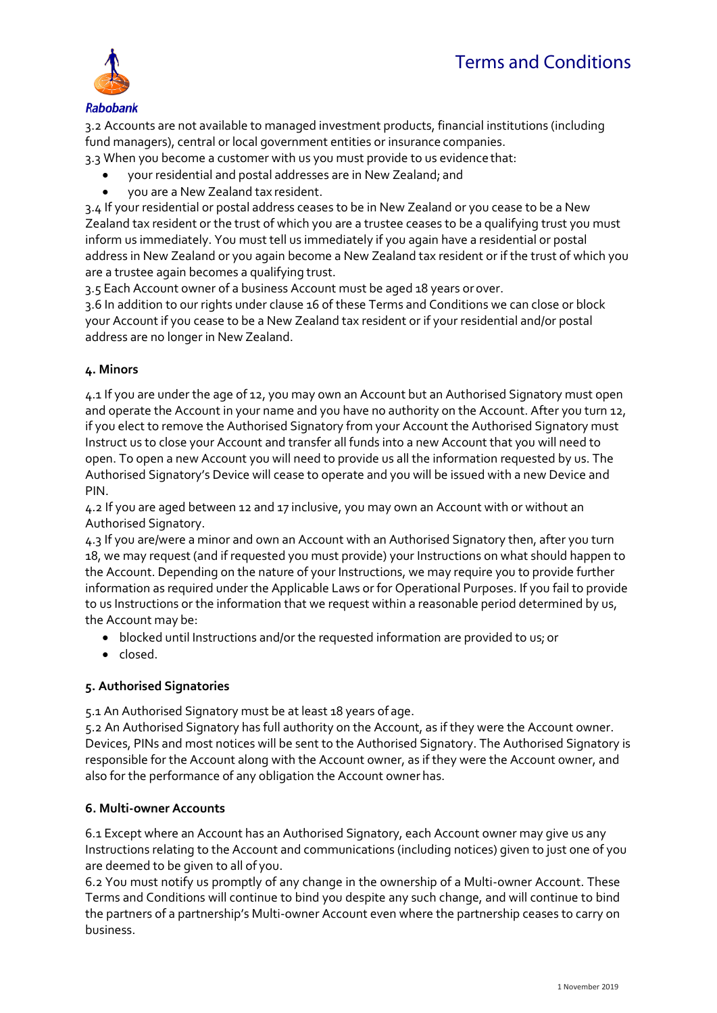

3.2 Accounts are not available to managed investment products, financial institutions (including fund managers), central or local government entities or insurance companies.

3.3 When you become a customer with us you must provide to us evidence that:

- your residential and postal addresses are in New Zealand; and
- you are a New Zealand tax resident.

3.4 If your residential or postal address ceases to be in New Zealand or you cease to be a New Zealand tax resident or the trust of which you are a trustee ceases to be a qualifying trust you must inform us immediately. You must tell us immediately if you again have a residential or postal address in New Zealand or you again become a New Zealand tax resident or if the trust of which you are a trustee again becomes a qualifying trust.

3.5 Each Account owner of a business Account must be aged 18 years orover.

3.6 In addition to our rights under clause 16 of these Terms and Conditions we can close or block your Account if you cease to be a New Zealand tax resident or if your residential and/or postal address are no longer in New Zealand.

## **4. Minors**

4.1 If you are under the age of 12, you may own an Account but an Authorised Signatory must open and operate the Account in your name and you have no authority on the Account. After you turn 12, if you elect to remove the Authorised Signatory from your Account the Authorised Signatory must Instruct us to close your Account and transfer all funds into a new Account that you will need to open. To open a new Account you will need to provide us all the information requested by us. The Authorised Signatory's Device will cease to operate and you will be issued with a new Device and PIN.

4.2 If you are aged between 12 and 17 inclusive, you may own an Account with or without an Authorised Signatory.

4.3 If you are/were a minor and own an Account with an Authorised Signatory then, after you turn 18, we may request (and if requested you must provide) your Instructions on what should happen to the Account. Depending on the nature of your Instructions, we may require you to provide further information as required under the Applicable Laws or for Operational Purposes. If you fail to provide to us Instructions or the information that we request within a reasonable period determined by us, the Account may be:

- blocked until Instructions and/or the requested information are provided to us; or
- closed.

# **5. Authorised Signatories**

5.1 An Authorised Signatory must be at least 18 years of age.

5.2 An Authorised Signatory has full authority on the Account, as if they were the Account owner. Devices, PINs and most notices will be sent to the Authorised Signatory. The Authorised Signatory is responsible for the Account along with the Account owner, as if they were the Account owner, and also for the performance of any obligation the Account owner has.

### **6. Multi-owner Accounts**

6.1 Except where an Account has an Authorised Signatory, each Account owner may give us any Instructions relating to the Account and communications (including notices) given to just one of you are deemed to be given to all of you.

6.2 You must notify us promptly of any change in the ownership of a Multi-owner Account. These Terms and Conditions will continue to bind you despite any such change, and will continue to bind the partners of a partnership's Multi-owner Account even where the partnership ceases to carry on business.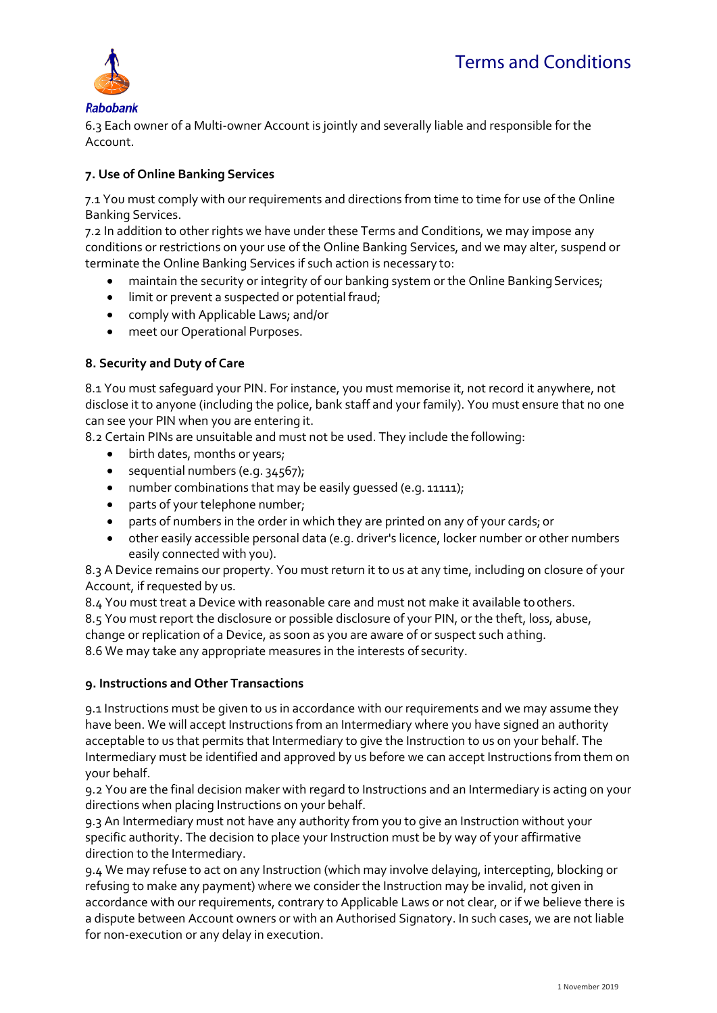

**Rabobank** 6.3 Each owner of a Multi-owner Account is jointly and severally liable and responsible for the Account.

## **7. Use of Online Banking Services**

7.1 You must comply with our requirements and directions from time to time for use of the Online Banking Services.

7.2 In addition to other rights we have under these Terms and Conditions, we may impose any conditions or restrictions on your use of the Online Banking Services, and we may alter, suspend or terminate the Online Banking Services if such action is necessary to:

- maintain the security or integrity of our banking system or the Online Banking Services;
- **.** limit or prevent a suspected or potential fraud;
- comply with Applicable Laws; and/or
- meet our Operational Purposes.

### **8. Security and Duty of Care**

8.1 You must safeguard your PIN. For instance, you must memorise it, not record it anywhere, not disclose it to anyone (including the police, bank staff and your family). You must ensure that no one can see your PIN when you are entering it.

8.2 Certain PINs are unsuitable and must not be used. They include the following:

- birth dates, months or years;
- $\bullet$  sequential numbers (e.g. 34567);
- number combinations that may be easily guessed (e.g. 11111);
- parts of your telephone number;
- parts of numbers in the order in which they are printed on any of your cards; or
- other easily accessible personal data (e.g. driver's licence, locker number or other numbers easily connected with you).

8.3 A Device remains our property. You must return it to us at any time, including on closure of your Account, if requested by us.

8.4 You must treat a Device with reasonable care and must not make it available toothers.

8.5 You must report the disclosure or possible disclosure of your PIN, or the theft, loss, abuse, change or replication of a Device, as soon as you are aware of or suspect such athing.

8.6 We may take any appropriate measures in the interests of security.

### **9. Instructions and Other Transactions**

9.1 Instructions must be given to us in accordance with our requirements and we may assume they have been. We will accept Instructions from an Intermediary where you have signed an authority acceptable to us that permits that Intermediary to give the Instruction to us on your behalf. The Intermediary must be identified and approved by us before we can accept Instructions from them on your behalf.

9.2 You are the final decision maker with regard to Instructions and an Intermediary is acting on your directions when placing Instructions on your behalf.

9.3 An Intermediary must not have any authority from you to give an Instruction without your specific authority. The decision to place your Instruction must be by way of your affirmative direction to the Intermediary.

9.4 We may refuse to act on any Instruction (which may involve delaying, intercepting, blocking or refusing to make any payment) where we consider the Instruction may be invalid, not given in accordance with our requirements, contrary to Applicable Laws or not clear, or if we believe there is a dispute between Account owners or with an Authorised Signatory. In such cases, we are not liable for non-execution or any delay in execution.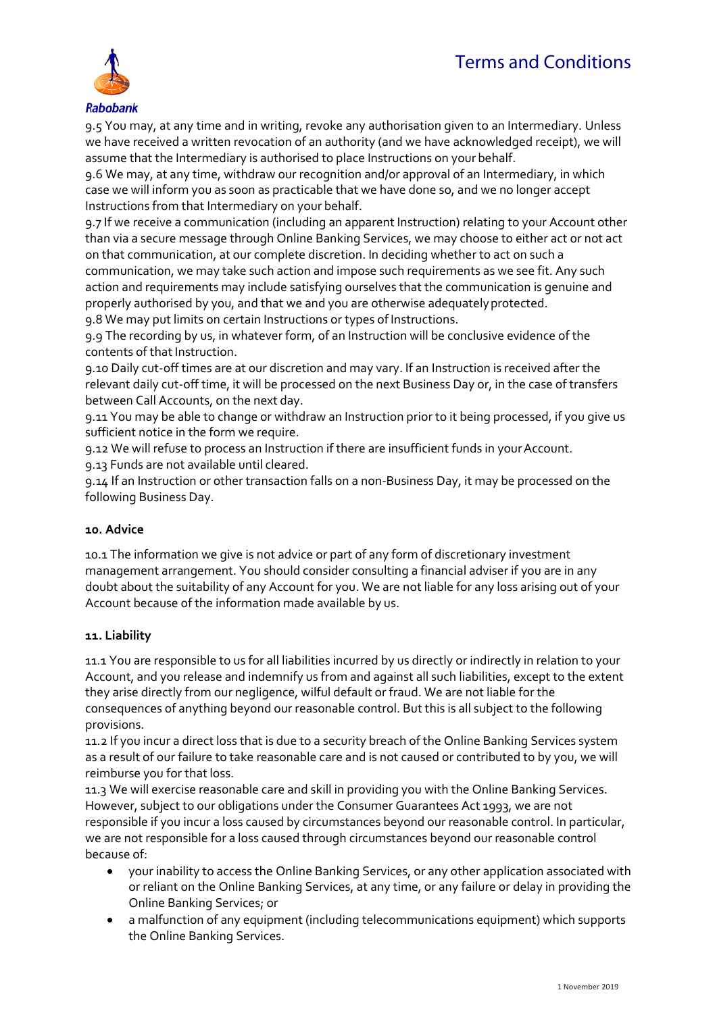# *Terms and Conditions*



**Rabobank** 

9.5 You may, at any time and in writing, revoke any authorisation given to an Intermediary. Unless we have received a written revocation of an authority (and we have acknowledged receipt), we will assume that the Intermediary is authorised to place Instructions on your behalf.

9.6 We may, at any time, withdraw our recognition and/or approval of an Intermediary, in which case we will inform you as soon as practicable that we have done so, and we no longer accept Instructions from that Intermediary on your behalf.

9.7 If we receive a communication (including an apparent Instruction) relating to your Account other than via a secure message through Online Banking Services, we may choose to either act or not act on that communication, at our complete discretion. In deciding whether to act on such a communication, we may take such action and impose such requirements as we see fit. Any such action and requirements may include satisfying ourselves that the communication is genuine and properly authorised by you, and that we and you are otherwise adequatelyprotected. 9.8 We may put limits on certain Instructions or types of Instructions.

9.9 The recording by us, in whatever form, of an Instruction will be conclusive evidence of the contents of that Instruction.

9.10 Daily cut-off times are at our discretion and may vary. If an Instruction is received after the relevant daily cut-off time, it will be processed on the next Business Day or, in the case of transfers between Call Accounts, on the next day.

9.11 You may be able to change or withdraw an Instruction prior to it being processed, if you give us sufficient notice in the form we require.

9.12 We will refuse to process an Instruction if there are insufficient funds in your Account. 9.13 Funds are not available until cleared.

9.14 If an Instruction or other transaction falls on a non-Business Day, it may be processed on the following Business Day.

### **10. Advice**

10.1 The information we give is not advice or part of any form of discretionary investment management arrangement. You should consider consulting a financial adviser if you are in any doubt about the suitability of any Account for you. We are not liable for any loss arising out of your Account because of the information made available by us.

### **11. Liability**

11.1 You are responsible to us for all liabilities incurred by us directly or indirectly in relation to your Account, and you release and indemnify us from and against all such liabilities, except to the extent they arise directly from our negligence, wilful default or fraud. We are not liable for the consequences of anything beyond our reasonable control. But this is all subject to the following provisions.

11.2 If you incur a direct loss that is due to a security breach of the Online Banking Services system as a result of our failure to take reasonable care and is not caused or contributed to by you, we will reimburse you for that loss.

11.3 We will exercise reasonable care and skill in providing you with the Online Banking Services. However, subject to our obligations under the Consumer Guarantees Act 1993, we are not responsible if you incur a loss caused by circumstances beyond our reasonable control. In particular, we are not responsible for a loss caused through circumstances beyond our reasonable control because of:

- your inability to access the Online Banking Services, or any other application associated with or reliant on the Online Banking Services, at any time, or any failure or delay in providing the Online Banking Services; or
- a malfunction of any equipment (including telecommunications equipment) which supports the Online Banking Services.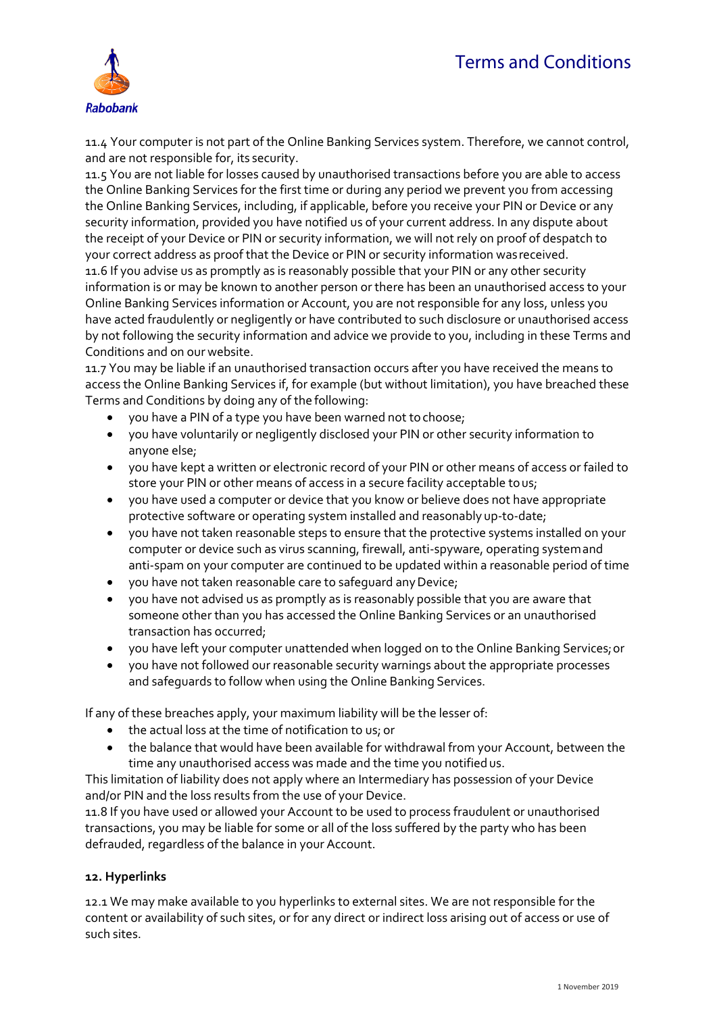# *Terms and Conditions*



11.4 Your computer is not part of the Online Banking Services system. Therefore, we cannot control, and are not responsible for, its security.

11.5 You are not liable for losses caused by unauthorised transactions before you are able to access the Online Banking Services for the first time or during any period we prevent you from accessing the Online Banking Services, including, if applicable, before you receive your PIN or Device or any security information, provided you have notified us of your current address. In any dispute about the receipt of your Device or PIN or security information, we will not rely on proof of despatch to your correct address as proof that the Device or PIN or security information wasreceived. 11.6 If you advise us as promptly as is reasonably possible that your PIN or any other security

information is or may be known to another person or there has been an unauthorised access to your Online Banking Services information or Account, you are not responsible for any loss, unless you have acted fraudulently or negligently or have contributed to such disclosure or unauthorised access by not following the security information and advice we provide to you, including in these Terms and Conditions and on our website.

11.7 You may be liable if an unauthorised transaction occurs after you have received the means to access the Online Banking Services if, for example (but without limitation), you have breached these Terms and Conditions by doing any of the following:

- you have a PIN of a type you have been warned not tochoose;
- you have voluntarily or negligently disclosed your PIN or other security information to anyone else;
- you have kept a written or electronic record of your PIN or other means of access or failed to store your PIN or other means of access in a secure facility acceptable tous;
- you have used a computer or device that you know or believe does not have appropriate protective software or operating system installed and reasonably up-to-date;
- you have not taken reasonable steps to ensure that the protective systems installed on your computer or device such as virus scanning, firewall, anti-spyware, operating systemand anti-spam on your computer are continued to be updated within a reasonable period of time
- you have not taken reasonable care to safeguard anyDevice;
- you have not advised us as promptly as is reasonably possible that you are aware that someone other than you has accessed the Online Banking Services or an unauthorised transaction has occurred;
- you have left your computer unattended when logged on to the Online Banking Services;or
- you have not followed our reasonable security warnings about the appropriate processes and safeguards to follow when using the Online Banking Services.

If any of these breaches apply, your maximum liability will be the lesser of:

- the actual loss at the time of notification to us; or
- the balance that would have been available for withdrawal from your Account, between the time any unauthorised access was made and the time you notifiedus.

This limitation of liability does not apply where an Intermediary has possession of your Device and/or PIN and the loss results from the use of your Device.

11.8 If you have used or allowed your Account to be used to process fraudulent or unauthorised transactions, you may be liable for some or all of the loss suffered by the party who has been defrauded, regardless of the balance in your Account.

### **12. Hyperlinks**

12.1 We may make available to you hyperlinks to external sites. We are not responsible for the content or availability of such sites, or for any direct or indirect loss arising out of access or use of such sites.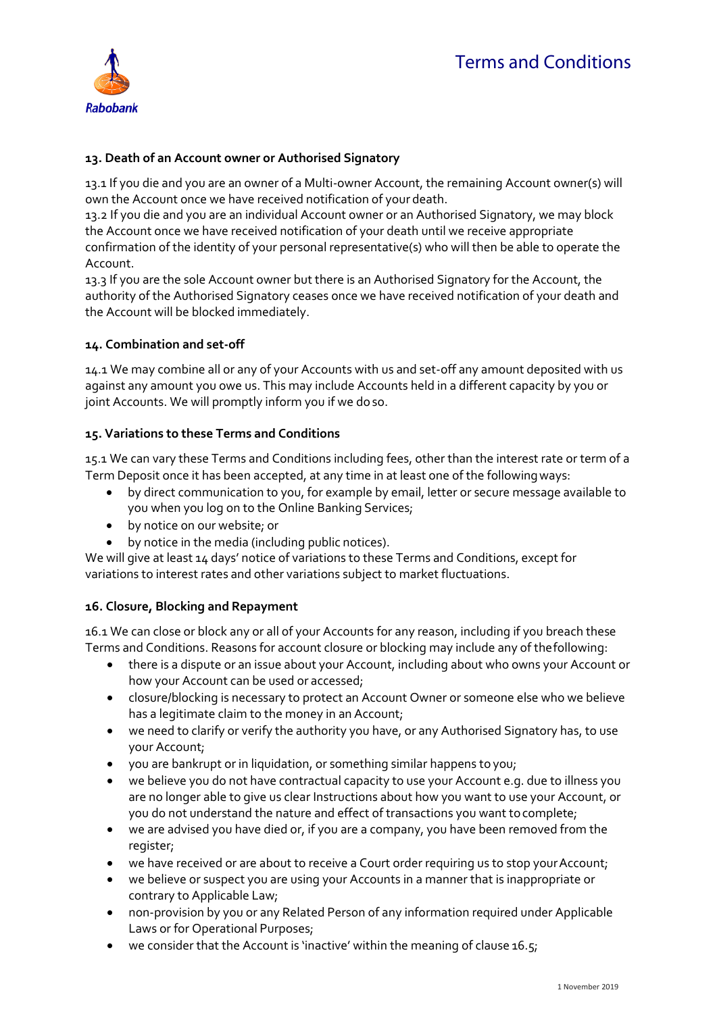

## **13. Death of an Account owner or Authorised Signatory**

13.1 If you die and you are an owner of a Multi-owner Account, the remaining Account owner(s) will own the Account once we have received notification of your death.

13.2 If you die and you are an individual Account owner or an Authorised Signatory, we may block the Account once we have received notification of your death until we receive appropriate confirmation of the identity of your personal representative(s) who will then be able to operate the Account.

13.3 If you are the sole Account owner but there is an Authorised Signatory for the Account, the authority of the Authorised Signatory ceases once we have received notification of your death and the Account will be blocked immediately.

### **14. Combination and set-off**

14.1 We may combine all or any of your Accounts with us and set-off any amount deposited with us against any amount you owe us. This may include Accounts held in a different capacity by you or joint Accounts. We will promptly inform you if we doso.

### **15. Variations to these Terms and Conditions**

15.1 We can vary these Terms and Conditions including fees, other than the interest rate or term of a Term Deposit once it has been accepted, at any time in at least one of the followingways:

- by direct communication to you, for example by email, letter or secure message available to you when you log on to the Online Banking Services;
- by notice on our website; or
- by notice in the media (including public notices).

We will give at least 14 days' notice of variations to these Terms and Conditions, except for variations to interest rates and other variations subject to market fluctuations.

### **16. Closure, Blocking and Repayment**

16.1 We can close or block any or all of your Accounts for any reason, including if you breach these Terms and Conditions. Reasons for account closure or blocking may include any of thefollowing:

- there is a dispute or an issue about your Account, including about who owns your Account or how your Account can be used or accessed;
- closure/blocking is necessary to protect an Account Owner or someone else who we believe has a legitimate claim to the money in an Account;
- we need to clarify or verify the authority you have, or any Authorised Signatory has, to use your Account;
- you are bankrupt or in liquidation, or something similar happens to you;
- we believe you do not have contractual capacity to use your Account e.g. due to illness you are no longer able to give us clear Instructions about how you want to use your Account, or you do not understand the nature and effect of transactions you want tocomplete;
- we are advised you have died or, if you are a company, you have been removed from the register;
- we have received or are about to receive a Court order requiring us to stop your Account;
- we believe or suspect you are using your Accounts in a manner that is inappropriate or contrary to Applicable Law;
- non-provision by you or any Related Person of any information required under Applicable Laws or for Operational Purposes;
- we consider that the Account is 'inactive' within the meaning of clause 16.5;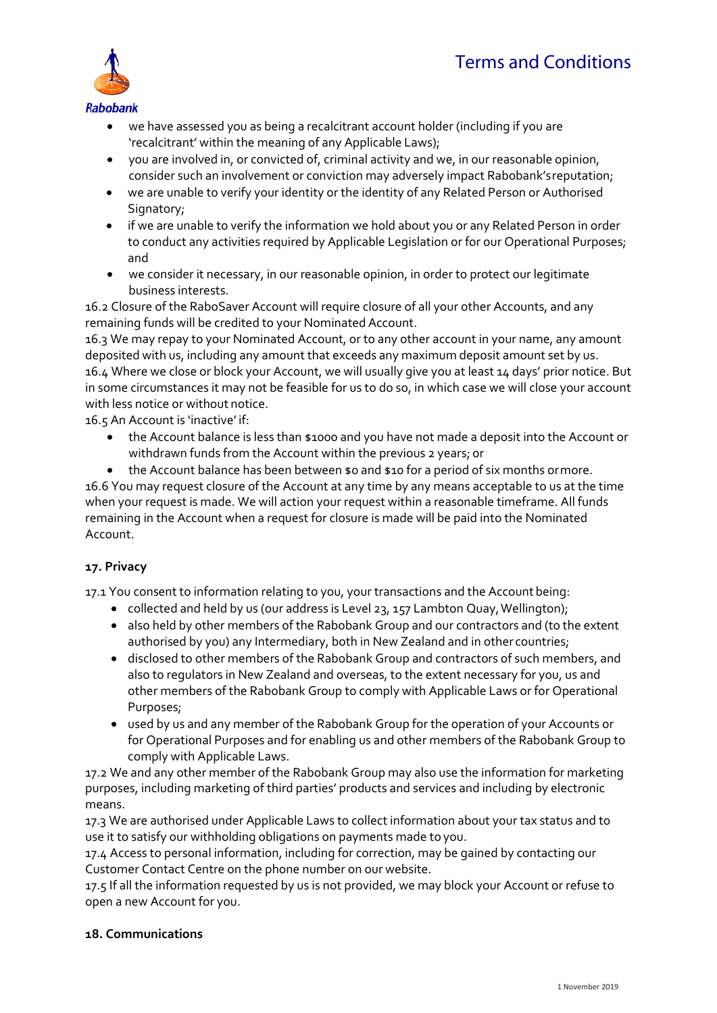

- we have assessed you as being a recalcitrant account holder (including if you are 'recalcitrant' within the meaning of any Applicable Laws);
- you are involved in, or convicted of, criminal activity and we, in our reasonable opinion, consider such an involvement or conviction may adversely impact Rabobank'sreputation;
- we are unable to verify your identity or the identity of any Related Person or Authorised Signatory;
- if we are unable to verify the information we hold about you or any Related Person in order to conduct any activities required by Applicable Legislation or for our Operational Purposes; and
- we consider it necessary, in our reasonable opinion, in order to protect our legitimate business interests.

16.2 Closure of the RaboSaver Account will require closure of all your other Accounts, and any remaining funds will be credited to your Nominated Account.

16.3 We may repay to your Nominated Account, or to any other account in your name, any amount deposited with us, including any amount that exceeds any maximum deposit amount set by us. 16.4 Where we close or block your Account, we will usually give you at least 14 days' prior notice. But in some circumstances it may not be feasible for us to do so, in which case we will close your account with less notice or without notice.

16.5 An Account is 'inactive' if:

- the Account balance is less than \$1000 and you have not made a deposit into the Account or withdrawn funds from the Account within the previous 2 years; or
- the Account balance has been between \$0 and \$10 for a period of six months ormore.

16.6 You may request closure of the Account at any time by any means acceptable to us at the time when your request is made. We will action your request within a reasonable timeframe. All funds remaining in the Account when a request for closure is made will be paid into the Nominated Account.

### **17. Privacy**

17.1 You consent to information relating to you, your transactions and the Accountbeing:

- collected and held by us (our address is Level 23, 157 Lambton Quay, Wellington);
- also held by other members of the Rabobank Group and our contractors and (to the extent authorised by you) any Intermediary, both in New Zealand and in other countries;
- disclosed to other members of the Rabobank Group and contractors of such members, and also to regulators in New Zealand and overseas, to the extent necessary for you, us and other members of the Rabobank Group to comply with Applicable Laws or for Operational Purposes;
- used by us and any member of the Rabobank Group for the operation of your Accounts or for Operational Purposes and for enabling us and other members of the Rabobank Group to comply with Applicable Laws.

17.2 We and any other member of the Rabobank Group may also use the information for marketing purposes, including marketing of third parties' products and services and including by electronic means.

17.3 We are authorised under Applicable Laws to collect information about your tax status and to use it to satisfy our withholding obligations on payments made to you.

17.4 Access to personal information, including for correction, may be gained by contacting our Customer Contact Centre on the phone number on our website.

17.5 If all the information requested by us is not provided, we may block your Account or refuse to open a new Account for you.

#### **18. Communications**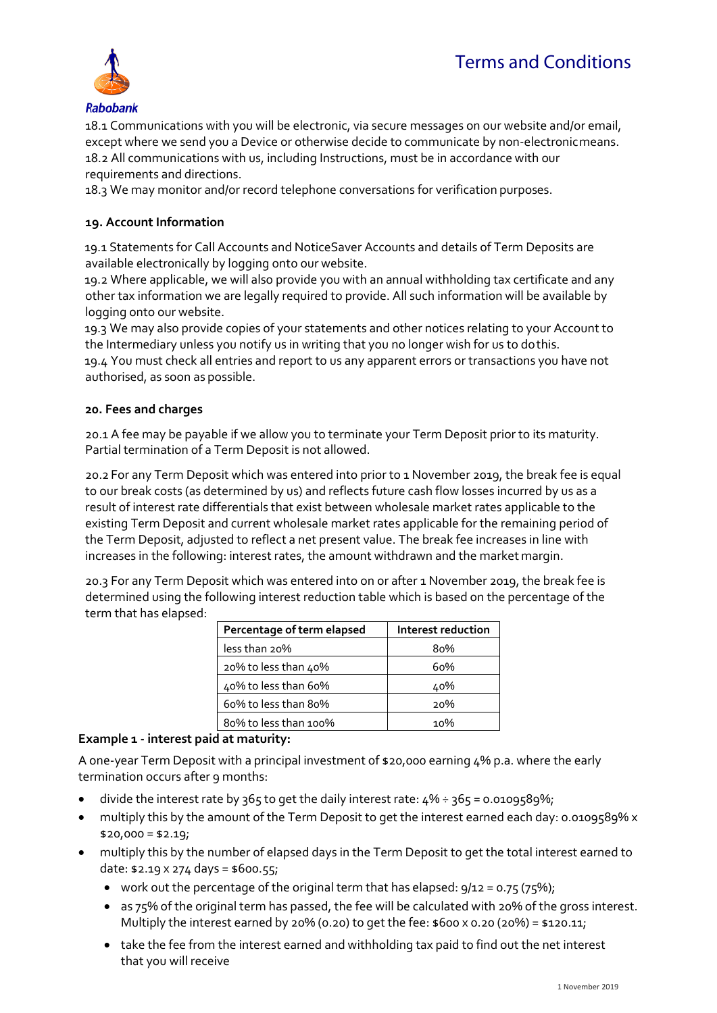# *Terms and Conditions*



18.1 Communications with you will be electronic, via secure messages on our website and/or email, except where we send you a Device or otherwise decide to communicate by non-electronicmeans. 18.2 All communications with us, including Instructions, must be in accordance with our requirements and directions.

18.3 We may monitor and/or record telephone conversations for verification purposes.

### **19. Account Information**

19.1 Statements for Call Accounts and NoticeSaver Accounts and details of Term Deposits are available electronically by logging onto our website.

19.2 Where applicable, we will also provide you with an annual withholding tax certificate and any other tax information we are legally required to provide. All such information will be available by logging onto our website.

19.3 We may also provide copies of your statements and other notices relating to your Account to the Intermediary unless you notify us in writing that you no longer wish for us to dothis. 19.4 You must check all entries and report to us any apparent errors or transactions you have not authorised, as soon as possible.

### **20. Fees and charges**

20.1 A fee may be payable if we allow you to terminate your Term Deposit prior to its maturity. Partial termination of a Term Deposit is not allowed.

20.2 For any Term Deposit which was entered into prior to 1 November 2019, the break fee is equal to our break costs (as determined by us) and reflects future cash flow losses incurred by us as a result of interest rate differentials that exist between wholesale market rates applicable to the existing Term Deposit and current wholesale market rates applicable for the remaining period of the Term Deposit, adjusted to reflect a net present value. The break fee increases in line with increases in the following: interest rates, the amount withdrawn and the market margin.

20.3 For any Term Deposit which was entered into on or after 1 November 2019, the break fee is determined using the following interest reduction table which is based on the percentage of the term that has elapsed:

| Percentage of term elapsed | Interest reduction |
|----------------------------|--------------------|
| less than 20%              | 80%                |
| 20% to less than 40%       | 60%                |
| 40% to less than 60%       | 40%                |
| 60% to less than 80%       | 20%                |
| 80% to less than 100%      | 1ი%                |

#### **Example 1 - interest paid at maturity:**

A one-year Term Deposit with a principal investment of \$20,000 earning 4% p.a. where the early termination occurs after 9 months:

- divide the interest rate by 365 to get the daily interest rate:  $4\% \div 365 = 0.0109589\%$ ;
- multiply this by the amount of the Term Deposit to get the interest earned each day: 0.0109589% x  $$20,000 = $2.19;$
- multiply this by the number of elapsed days in the Term Deposit to get the total interest earned to date: \$2.19  $\times$  274 days = \$600.55;
	- work out the percentage of the original term that has elapsed:  $g/12 = 0.75$  (75%);
	- as 75% of the original term has passed, the fee will be calculated with 20% of the gross interest. Multiply the interest earned by 20% (0.20) to get the fee: \$600 x 0.20 (20%) = \$120.11;
	- take the fee from the interest earned and withholding tax paid to find out the net interest that you will receive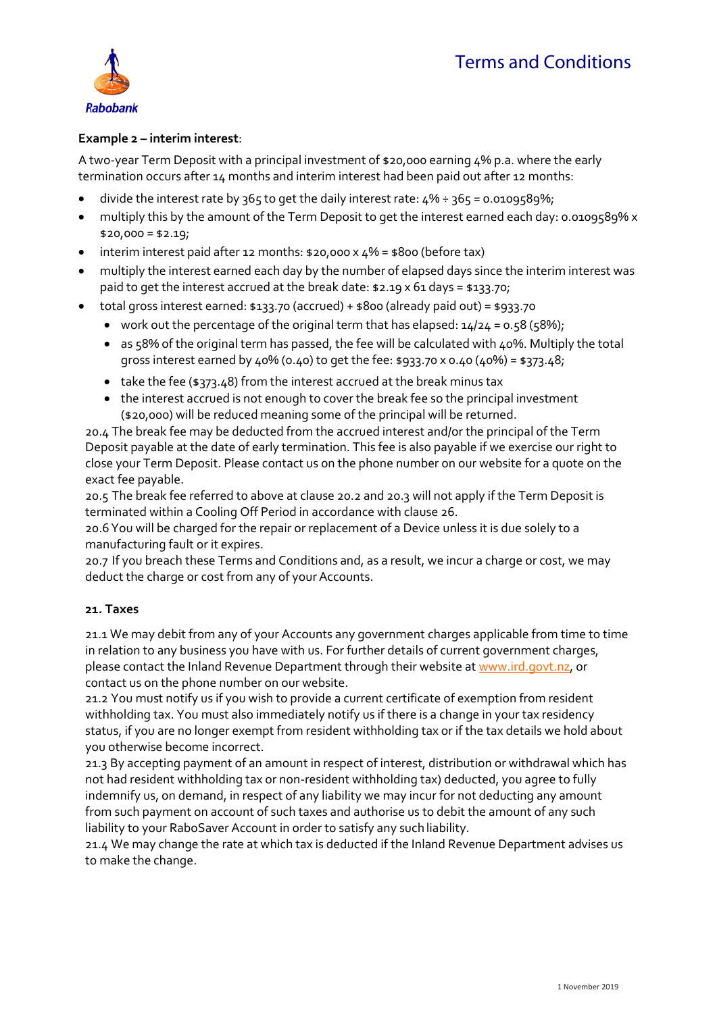

## **Example 2 – interim interest**:

A two-year Term Deposit with a principal investment of \$20,000 earning 4% p.a. where the early termination occurs after 14 months and interim interest had been paid out after 12 months:

- divide the interest rate by 365 to get the daily interest rate:  $4\% \div 365 = 0.0109589\%$ ;
- multiply this by the amount of the Term Deposit to get the interest earned each day: 0.0109589% x  $$20,000 = $2.19;$
- interim interest paid after 12 months: \$20,000 x 4% = \$800 (before tax)
- multiply the interest earned each day by the number of elapsed days since the interim interest was paid to get the interest accrued at the break date: \$2.19 x 61 days = \$133.70;
- total gross interest earned:  $$133.70$  (accrued) +  $$800$  (already paid out) =  $$933.70$ 
	- work out the percentage of the original term that has elapsed:  $14/24 = 0.58$  (58%);
	- $\bullet$  as 58% of the original term has passed, the fee will be calculated with 40%. Multiply the total gross interest earned by 40% (0.40) to get the fee: \$933.70 x 0.40 (40%) = \$373.48;
	- take the fee (\$373.48) from the interest accrued at the break minus tax
	- the interest accrued is not enough to cover the break fee so the principal investment (\$20,000) will be reduced meaning some of the principal will be returned.

20.4 The break fee may be deducted from the accrued interest and/or the principal of the Term Deposit payable at the date of early termination. This fee is also payable if we exercise our right to close your Term Deposit. Please contact us on the phone number on our website for a quote on the exact fee payable.

20.5 The break fee referred to above at clause 20.2 and 20.3 will not apply if the Term Deposit is terminated within a Cooling Off Period in accordance with clause 26.

20.6You will be charged for the repair or replacement of a Device unless it is due solely to a manufacturing fault or it expires.

20.7 If you breach these Terms and Conditions and, as a result, we incur a charge or cost, we may deduct the charge or cost from any of your Accounts.

### **21. Taxes**

21.1 We may debit from any of your Accounts any government charges applicable from time to time in relation to any business you have with us. For further details of current government charges, please contact the Inland Revenue Department through their website at [www.ird.govt.nz,](http://www.ird.govt.nz/) or contact us on the phone number on our website.

21.2 You must notify us if you wish to provide a current certificate of exemption from resident withholding tax. You must also immediately notify us if there is a change in your tax residency status, if you are no longer exempt from resident withholding tax or if the tax details we hold about you otherwise become incorrect.

21.3 By accepting payment of an amount in respect of interest, distribution or withdrawal which has not had resident withholding tax or non-resident withholding tax) deducted, you agree to fully indemnify us, on demand, in respect of any liability we may incur for not deducting any amount from such payment on account of such taxes and authorise us to debit the amount of any such liability to your RaboSaver Account in order to satisfy any such liability.

21.4 We may change the rate at which tax is deducted if the Inland Revenue Department advises us to make the change.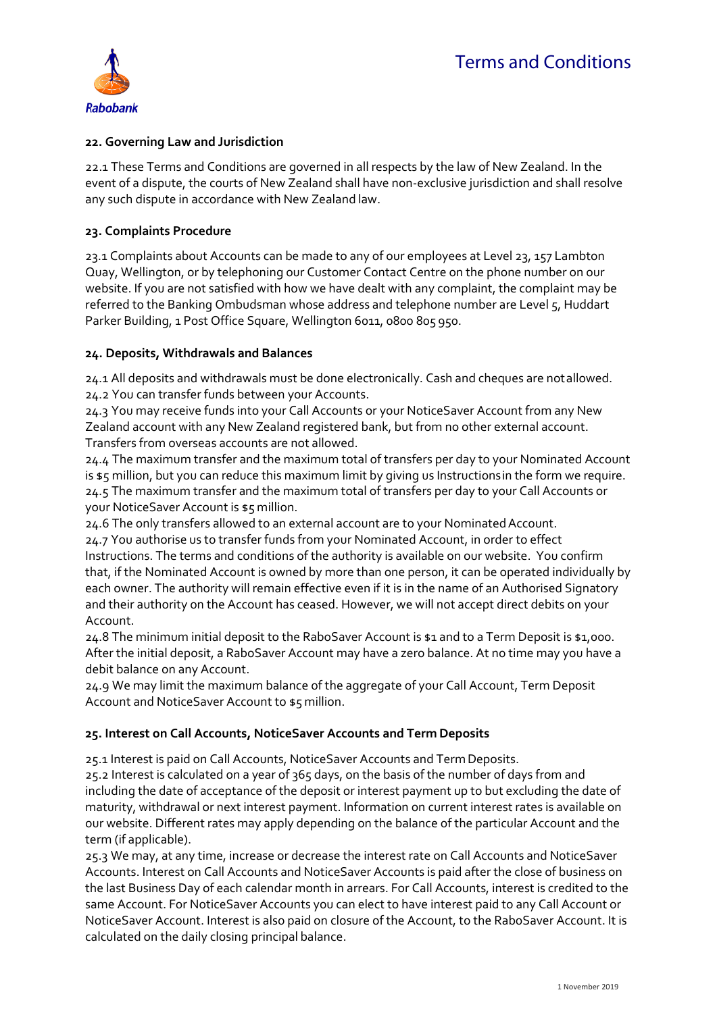

### **22. Governing Law and Jurisdiction**

22.1 These Terms and Conditions are governed in all respects by the law of New Zealand. In the event of a dispute, the courts of New Zealand shall have non-exclusive jurisdiction and shall resolve any such dispute in accordance with New Zealand law.

### **23. Complaints Procedure**

23.1 Complaints about Accounts can be made to any of our employees at Level 23, 157 Lambton Quay, Wellington, or by telephoning our Customer Contact Centre on the phone number on our website. If you are not satisfied with how we have dealt with any complaint, the complaint may be referred to the Banking Ombudsman whose address and telephone number are Level 5, Huddart Parker Building, 1 Post Office Square, Wellington 6011, 0800 805 950.

### **24. Deposits, Withdrawals and Balances**

24.1 All deposits and withdrawals must be done electronically. Cash and cheques are notallowed. 24.2 You can transfer funds between your Accounts.

24.3 You may receive funds into your Call Accounts or your NoticeSaver Account from any New Zealand account with any New Zealand registered bank, but from no other external account. Transfers from overseas accounts are not allowed.

24.4 The maximum transfer and the maximum total of transfers per day to your Nominated Account is \$5 million, but you can reduce this maximum limit by giving us Instructionsin the form we require. 24.5 The maximum transfer and the maximum total of transfers per day to your Call Accounts or your NoticeSaver Account is \$5 million.

24.6 The only transfers allowed to an external account are to your Nominated Account. 24.7 You authorise us to transfer funds from your Nominated Account, in order to effect Instructions. The terms and conditions of the authority is available on our website. You confirm that, if the Nominated Account is owned by more than one person, it can be operated individually by each owner. The authority will remain effective even if it is in the name of an Authorised Signatory and their authority on the Account has ceased. However, we will not accept direct debits on your Account.

24.8 The minimum initial deposit to the RaboSaver Account is \$1 and to a Term Deposit is \$1,000. After the initial deposit, a RaboSaver Account may have a zero balance. At no time may you have a debit balance on any Account.

24.9 We may limit the maximum balance of the aggregate of your Call Account, Term Deposit Account and NoticeSaver Account to \$5 million.

### **25. Interest on Call Accounts, NoticeSaver Accounts and Term Deposits**

25.1 Interest is paid on Call Accounts, NoticeSaver Accounts and Term Deposits.

25.2 Interest is calculated on a year of 365 days, on the basis of the number of days from and including the date of acceptance of the deposit or interest payment up to but excluding the date of maturity, withdrawal or next interest payment. Information on current interest rates is available on our website. Different rates may apply depending on the balance of the particular Account and the term (if applicable).

25.3 We may, at any time, increase or decrease the interest rate on Call Accounts and NoticeSaver Accounts. Interest on Call Accounts and NoticeSaver Accounts is paid after the close of business on the last Business Day of each calendar month in arrears. For Call Accounts, interest is credited to the same Account. For NoticeSaver Accounts you can elect to have interest paid to any Call Account or NoticeSaver Account. Interest is also paid on closure of the Account, to the RaboSaver Account. It is calculated on the daily closing principal balance.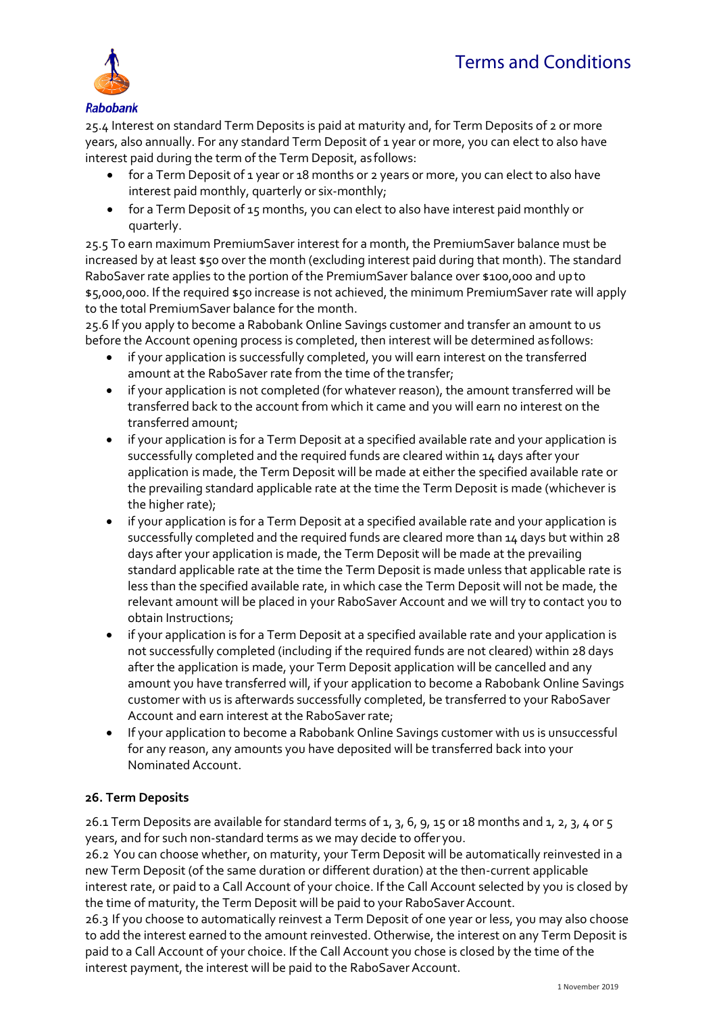

25.4 Interest on standard Term Deposits is paid at maturity and, for Term Deposits of 2 or more years, also annually. For any standard Term Deposit of 1 year or more, you can elect to also have interest paid during the term of the Term Deposit, as follows:

- for a Term Deposit of 1 year or 18 months or 2 years or more, you can elect to also have interest paid monthly, quarterly or six-monthly;
- for a Term Deposit of 15 months, you can elect to also have interest paid monthly or quarterly.

25.5 To earn maximum PremiumSaver interest for a month, the PremiumSaver balance must be increased by at least \$50 over the month (excluding interest paid during that month). The standard RaboSaver rate applies to the portion of the PremiumSaver balance over \$100,000 and upto \$5,000,000. If the required \$50 increase is not achieved, the minimum PremiumSaver rate will apply to the total PremiumSaver balance for the month.

25.6 If you apply to become a Rabobank Online Savings customer and transfer an amount to us before the Account opening process is completed, then interest will be determined asfollows:

- if your application is successfully completed, you will earn interest on the transferred amount at the RaboSaver rate from the time of the transfer;
- if your application is not completed (for whatever reason), the amount transferred will be transferred back to the account from which it came and you will earn no interest on the transferred amount;
- if your application is for a Term Deposit at a specified available rate and your application is successfully completed and the required funds are cleared within 14 days after your application is made, the Term Deposit will be made at either the specified available rate or the prevailing standard applicable rate at the time the Term Deposit is made (whichever is the higher rate);
- if your application is for a Term Deposit at a specified available rate and your application is successfully completed and the required funds are cleared more than 14 days but within 28 days after your application is made, the Term Deposit will be made at the prevailing standard applicable rate at the time the Term Deposit is made unless that applicable rate is less than the specified available rate, in which case the Term Deposit will not be made, the relevant amount will be placed in your RaboSaver Account and we will try to contact you to obtain Instructions;
- if your application is for a Term Deposit at a specified available rate and your application is not successfully completed (including if the required funds are not cleared) within 28 days after the application is made, your Term Deposit application will be cancelled and any amount you have transferred will, if your application to become a Rabobank Online Savings customer with us is afterwards successfully completed, be transferred to your RaboSaver Account and earn interest at the RaboSaver rate;
- If your application to become a Rabobank Online Savings customer with us is unsuccessful for any reason, any amounts you have deposited will be transferred back into your Nominated Account.

# **26. Term Deposits**

26.1 Term Deposits are available for standard terms of 1, 3, 6, 9, 15 or 18 months and 1, 2, 3, 4 or 5 years, and for such non-standard terms as we may decide to offer you.

26.2 You can choose whether, on maturity, your Term Deposit will be automatically reinvested in a new Term Deposit (of the same duration or different duration) at the then-current applicable interest rate, or paid to a Call Account of your choice. If the Call Account selected by you is closed by the time of maturity, the Term Deposit will be paid to your RaboSaver Account.

26.3 If you choose to automatically reinvest a Term Deposit of one year or less, you may also choose to add the interest earned to the amount reinvested. Otherwise, the interest on any Term Deposit is paid to a Call Account of your choice. If the Call Account you chose is closed by the time of the interest payment, the interest will be paid to the RaboSaver Account.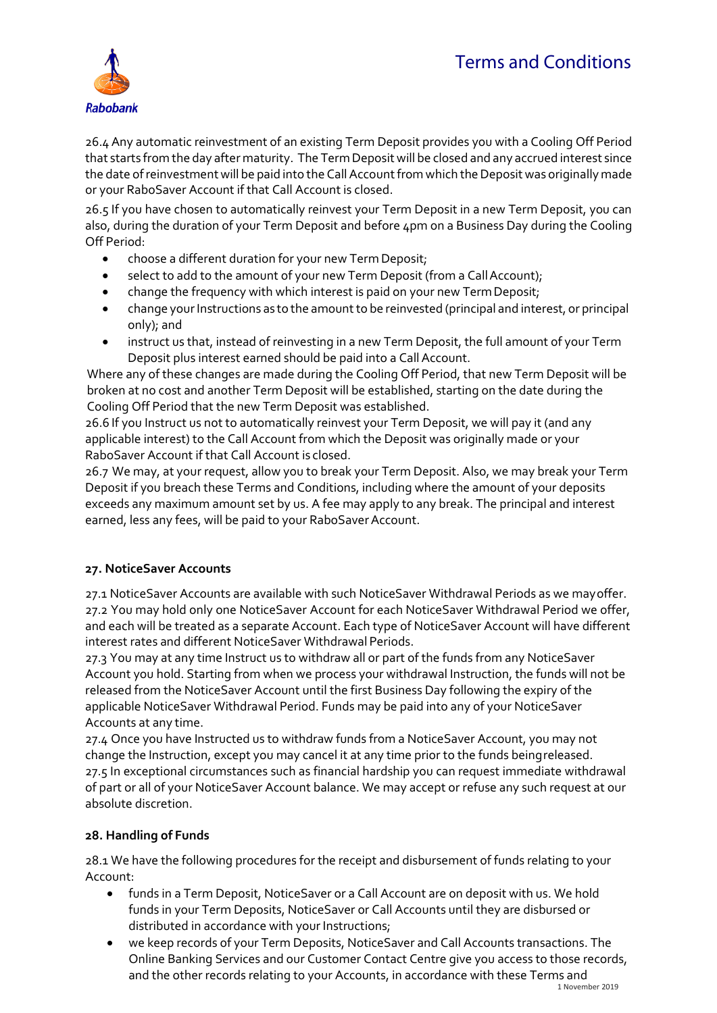

26.4 Any automatic reinvestment of an existing Term Deposit provides you with a Cooling Off Period that starts from the day after maturity. The Term Deposit will be closed and any accrued interest since the date of reinvestment will be paid into the Call Account from which the Deposit was originally made or your RaboSaver Account if that Call Account is closed.

26.5 If you have chosen to automatically reinvest your Term Deposit in a new Term Deposit, you can also, during the duration of your Term Deposit and before 4pm on a Business Day during the Cooling Off Period:

- choose a different duration for your new Term Deposit;
- select to add to the amount of your new Term Deposit (from a Call Account);
- change the frequency with which interest is paid on your new Term Deposit;
- change your Instructions as to the amount to be reinvested (principal and interest, or principal only); and
- instruct us that, instead of reinvesting in a new Term Deposit, the full amount of your Term Deposit plus interest earned should be paid into a Call Account.

Where any of these changes are made during the Cooling Off Period, that new Term Deposit will be broken at no cost and another Term Deposit will be established, starting on the date during the Cooling Off Period that the new Term Deposit was established.

26.6 If you Instruct us not to automatically reinvest your Term Deposit, we will pay it (and any applicable interest) to the Call Account from which the Deposit was originally made or your RaboSaver Account if that Call Account is closed.

26.7 We may, at your request, allow you to break your Term Deposit. Also, we may break your Term Deposit if you breach these Terms and Conditions, including where the amount of your deposits exceeds any maximum amount set by us. A fee may apply to any break. The principal and interest earned, less any fees, will be paid to your RaboSaver Account.

# **27. NoticeSaver Accounts**

27.1 NoticeSaver Accounts are available with such NoticeSaver Withdrawal Periods as we mayoffer. 27.2 You may hold only one NoticeSaver Account for each NoticeSaver Withdrawal Period we offer, and each will be treated as a separate Account. Each type of NoticeSaver Account will have different interest rates and different NoticeSaver Withdrawal Periods.

27.3 You may at any time Instruct us to withdraw all or part of the funds from any NoticeSaver Account you hold. Starting from when we process your withdrawal Instruction, the funds will not be released from the NoticeSaver Account until the first Business Day following the expiry of the applicable NoticeSaver Withdrawal Period. Funds may be paid into any of your NoticeSaver Accounts at any time.

27.4 Once you have Instructed us to withdraw funds from a NoticeSaver Account, you may not change the Instruction, except you may cancel it at any time prior to the funds beingreleased. 27.5 In exceptional circumstances such as financial hardship you can request immediate withdrawal of part or all of your NoticeSaver Account balance. We may accept or refuse any such request at our absolute discretion.

# **28. Handling of Funds**

28.1 We have the following procedures for the receipt and disbursement of funds relating to your Account:

- funds in a Term Deposit, NoticeSaver or a Call Account are on deposit with us. We hold funds in your Term Deposits, NoticeSaver or Call Accounts until they are disbursed or distributed in accordance with your Instructions;
- we keep records of your Term Deposits, NoticeSaver and Call Accounts transactions. The Online Banking Services and our Customer Contact Centre give you access to those records, and the other records relating to your Accounts, in accordance with these Terms and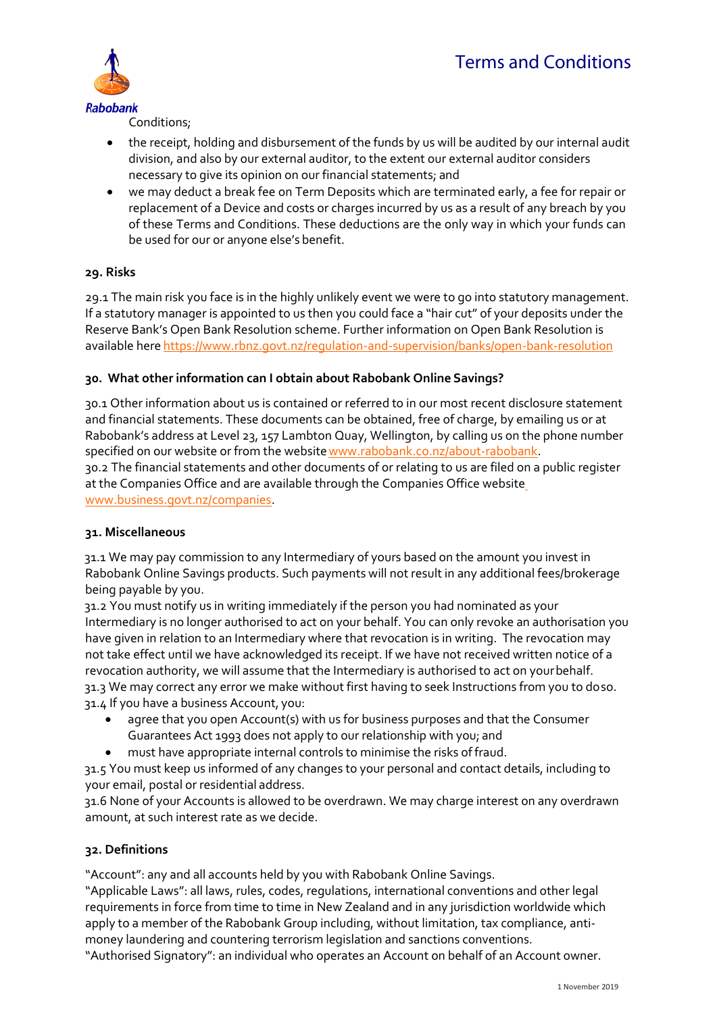

Conditions;

- the receipt, holding and disbursement of the funds by us will be audited by our internal audit division, and also by our external auditor, to the extent our external auditor considers necessary to give its opinion on our financial statements; and
- we may deduct a break fee on Term Deposits which are terminated early, a fee for repair or replacement of a Device and costs or charges incurred by us as a result of any breach by you of these Terms and Conditions. These deductions are the only way in which your funds can be used for our or anyone else's benefit.

## **29. Risks**

29.1 The main risk you face is in the highly unlikely event we were to go into statutory management. If a statutory manager is appointed to us then you could face a "hair cut" of your deposits under the Reserve Bank's Open Bank Resolution scheme. Further information on Open Bank Resolution is available here <https://www.rbnz.govt.nz/regulation-and-supervision/banks/open-bank-resolution>

## **30. What other information can I obtain about Rabobank Online Savings?**

30.1 Other information about us is contained or referred to in our most recent disclosure statement and financial statements. These documents can be obtained, free of charge, by emailing us or at Rabobank's address at Level 23, 157 Lambton Quay, Wellington, by calling us on the phone number specified on our website or from the website www.rabobank.co.nz/about-rabobank. 30.2 The financial statements and other documents of or relating to us are filed on a public register

at the Companies Office and are available through the Companies Office websit[e](http://www.business.govt.nz/companies) [www.business.govt.nz/companies.](http://www.business.govt.nz/companies)

### **31. Miscellaneous**

31.1 We may pay commission to any Intermediary of yours based on the amount you invest in Rabobank Online Savings products. Such payments will not result in any additional fees/brokerage being payable by you.

31.2 You must notify us in writing immediately if the person you had nominated as your Intermediary is no longer authorised to act on your behalf. You can only revoke an authorisation you have given in relation to an Intermediary where that revocation is in writing. The revocation may not take effect until we have acknowledged its receipt. If we have not received written notice of a revocation authority, we will assume that the Intermediary is authorised to act on yourbehalf. 31.3 We may correct any error we make without first having to seek Instructions from you to doso. 31.4 If you have a business Account, you:

- agree that you open Account(s) with us for business purposes and that the Consumer Guarantees Act 1993 does not apply to our relationship with you; and
	- must have appropriate internal controls to minimise the risks offraud.

31.5 You must keep us informed of any changes to your personal and contact details, including to your email, postal or residential address.

31.6 None of your Accounts is allowed to be overdrawn. We may charge interest on any overdrawn amount, at such interest rate as we decide.

### **32. Definitions**

"Account": any and all accounts held by you with Rabobank Online Savings.

"Applicable Laws": all laws, rules, codes, regulations, international conventions and other legal requirements in force from time to time in New Zealand and in any jurisdiction worldwide which apply to a member of the Rabobank Group including, without limitation, tax compliance, antimoney laundering and countering terrorism legislation and sanctions conventions.

"Authorised Signatory": an individual who operates an Account on behalf of an Account owner.